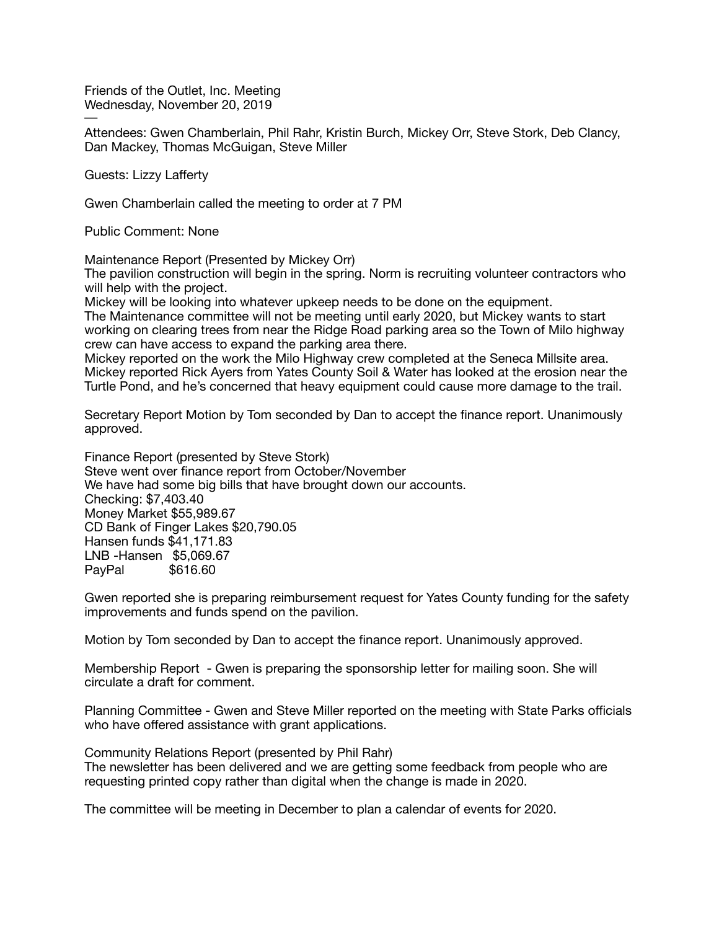Friends of the Outlet, Inc. Meeting Wednesday, November 20, 2019

─ Attendees: Gwen Chamberlain, Phil Rahr, Kristin Burch, Mickey Orr, Steve Stork, Deb Clancy, Dan Mackey, Thomas McGuigan, Steve Miller

Guests: Lizzy Lafferty

Gwen Chamberlain called the meeting to order at 7 PM

Public Comment: None

Maintenance Report (Presented by Mickey Orr)

The pavilion construction will begin in the spring. Norm is recruiting volunteer contractors who will help with the project.

Mickey will be looking into whatever upkeep needs to be done on the equipment. The Maintenance committee will not be meeting until early 2020, but Mickey wants to start working on clearing trees from near the Ridge Road parking area so the Town of Milo highway crew can have access to expand the parking area there.

Mickey reported on the work the Milo Highway crew completed at the Seneca Millsite area. Mickey reported Rick Ayers from Yates County Soil & Water has looked at the erosion near the Turtle Pond, and he's concerned that heavy equipment could cause more damage to the trail.

Secretary Report Motion by Tom seconded by Dan to accept the finance report. Unanimously approved. 

Finance Report (presented by Steve Stork) Steve went over finance report from October/November We have had some big bills that have brought down our accounts. Checking: \$7,403.40 Money Market \$55,989.67 CD Bank of Finger Lakes \$20,790.05 Hansen funds \$41,171.83 LNB -Hansen \$5,069.67 PayPal \$616.60

Gwen reported she is preparing reimbursement request for Yates County funding for the safety improvements and funds spend on the pavilion.

Motion by Tom seconded by Dan to accept the finance report. Unanimously approved.

Membership Report - Gwen is preparing the sponsorship letter for mailing soon. She will circulate a draft for comment.

Planning Committee - Gwen and Steve Miller reported on the meeting with State Parks officials who have offered assistance with grant applications.

Community Relations Report (presented by Phil Rahr) The newsletter has been delivered and we are getting some feedback from people who are requesting printed copy rather than digital when the change is made in 2020.

The committee will be meeting in December to plan a calendar of events for 2020.